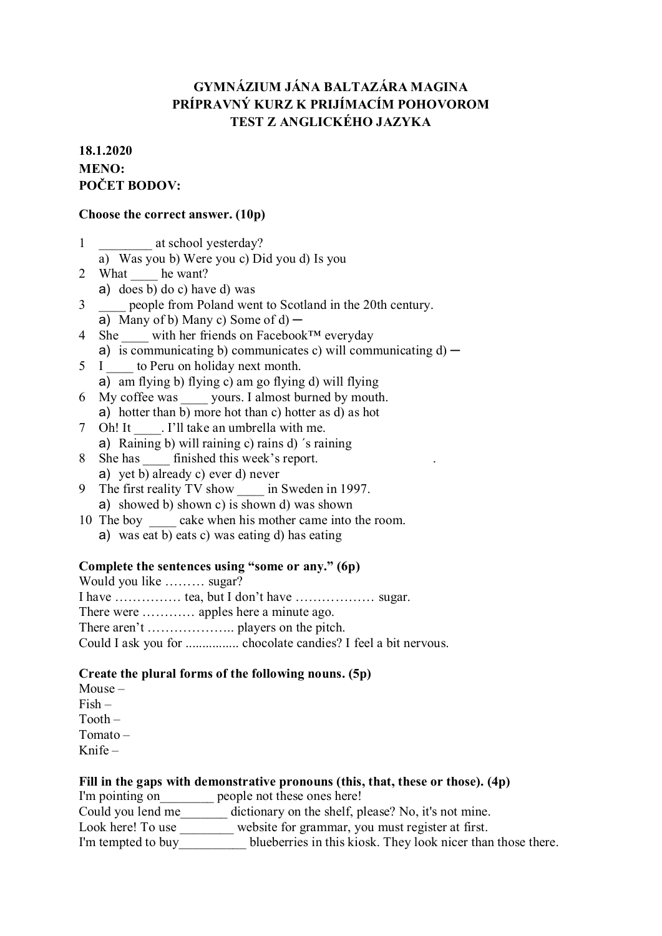# **GYMNÁZIUM JÁNA BALTAZÁRA MAGINA PRÍPRAVNÝ KURZ K PRIJÍMACÍM POHOVOROM TEST Z ANGLICKÉHO JAZYKA**

## **18.1.2020 MENO: POČET BODOV:**

#### **Choose the correct answer. (10p)**

- 1 \_\_\_\_\_\_\_\_\_\_ at school yesterday?
	- a) Was you b) Were you c) Did you d) Is you
- 2 What he want?
- a) does b) do c) have d) was
- 3 \_\_\_\_ people from Poland went to Scotland in the 20th century.
	- a) Many of b) Many c) Some of d)  $-$
- 4 She with her friends on Facebook™ everyday a) is communicating b) communicates c) will communicating  $d$  –
- 5 I to Peru on holiday next month. a) am flying b) flying c) am go flying d) will flying
- 6 My coffee was \_\_\_\_ yours. I almost burned by mouth. a) hotter than b) more hot than c) hotter as d) as hot
- 7 Oh! It \_\_\_\_. I'll take an umbrella with me.
	- a) Raining b) will raining c) rains d) ´s raining
- 8 She has \_\_\_\_\_ finished this week's report. a) yet b) already c) ever d) never
- 9 The first reality TV show \_\_\_\_\_ in Sweden in 1997. a) showed b) shown c) is shown d) was shown
- 10 The boy cake when his mother came into the room.
	- a) was eat b) eats c) was eating d) has eating

## **Complete the sentences using "some or any." (6p)**

| Would you like  sugar?                |  |
|---------------------------------------|--|
|                                       |  |
| There were  apples here a minute ago. |  |
|                                       |  |
|                                       |  |

#### **Create the plural forms of the following nouns. (5p)**

Mouse – Fish – Tooth – Tomato – Knife –

## **Fill in the gaps with demonstrative pronouns (this, that, these or those). (4p)**

I'm pointing on \_\_\_\_\_\_\_\_\_ people not these ones here!

- Could you lend me\_\_\_\_\_\_\_\_\_ dictionary on the shelf, please? No, it's not mine.
- Look here! To use website for grammar, you must register at first.
- I'm tempted to buy blueberries in this kiosk. They look nicer than those there.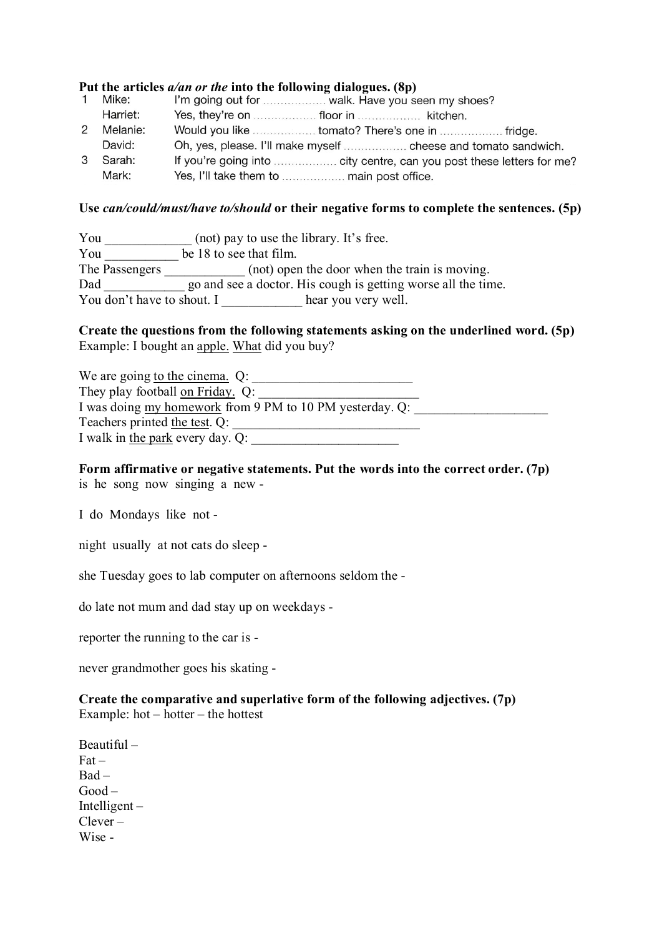# **Put the articles** *a/an or the* **into the following dialogues. (8p)**<br>1 Mike: I'm going out for *I'm and K. Have you seen my shoes*?

Harriet: 2 Melanie: Would you like ................... tomato? There's one in ...................... fridge. David: Oh, yes, please. I'll make myself ......................... cheese and tomato sandwich. 3 Sarah: Mark: 

#### **Use** *can/could/must/have to/should* **or their negative forms to complete the sentences. (5p)**

| You                        | (not) pay to use the library. It's free.                      |
|----------------------------|---------------------------------------------------------------|
| You                        | be 18 to see that film.                                       |
| The Passengers             | (not) open the door when the train is moving.                 |
| Dad                        | go and see a doctor. His cough is getting worse all the time. |
| You don't have to shout. I | hear you very well.                                           |

#### **Create the questions from the following statements asking on the underlined word. (5p)** Example: I bought an apple. What did you buy?

| We are going to the cinema. $Q$ :                        |  |
|----------------------------------------------------------|--|
| They play football on Friday. Q:                         |  |
| I was doing my homework from 9 PM to 10 PM yesterday. Q: |  |
| Teachers printed the test. Q:                            |  |
| I walk in the park every day. Q:                         |  |

#### **Form affirmative or negative statements. Put the words into the correct order. (7p)** is he song now singing a new -

I do Mondays like not -

night usually at not cats do sleep -

she Tuesday goes to lab computer on afternoons seldom the -

do late not mum and dad stay up on weekdays -

reporter the running to the car is -

never grandmother goes his skating -

#### **Create the comparative and superlative form of the following adjectives. (7p)** Example: hot – hotter – the hottest

Beautiful –  $Fact -$ Bad – Good – Intelligent – Clever – Wise -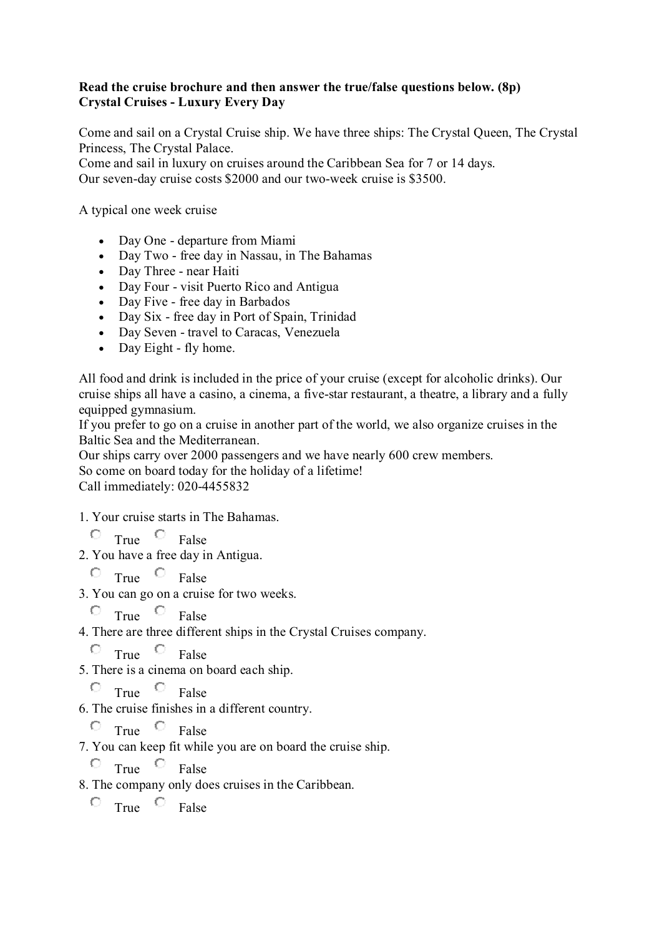## **Read the cruise brochure and then answer the true/false questions below. (8p) Crystal Cruises - Luxury Every Day**

Come and sail on a Crystal Cruise ship. We have three ships: The Crystal Queen, The Crystal Princess, The Crystal Palace.

Come and sail in luxury on cruises around the Caribbean Sea for 7 or 14 days. Our seven-day cruise costs \$2000 and our two-week cruise is \$3500.

A typical one week cruise

- Day One departure from Miami
- Day Two free day in Nassau, in The Bahamas
- Day Three near Haiti
- Day Four visit Puerto Rico and Antigua
- Day Five free day in Barbados
- Day Six free day in Port of Spain, Trinidad
- Day Seven travel to Caracas, Venezuela
- Day Eight fly home.

All food and drink is included in the price of your cruise (except for alcoholic drinks). Our cruise ships all have a casino, a cinema, a five-star restaurant, a theatre, a library and a fully equipped gymnasium.

If you prefer to go on a cruise in another part of the world, we also organize cruises in the Baltic Sea and the Mediterranean.

Our ships carry over 2000 passengers and we have nearly 600 crew members.

So come on board today for the holiday of a lifetime!

Call immediately: 020-4455832

- 1. Your cruise starts in The Bahamas.
	- $\overline{\text{True}}$   $\overline{\text{True}}$  False
- 2. You have a free day in Antigua.
	- $\overline{C}$  True  $\overline{C}$  False
- 3. You can go on a cruise for two weeks.
	- $\circ$  True  $\circ$  False
- 4. There are three different ships in the Crystal Cruises company.

 $\circ$  True  $\circ$  False

5. There is a cinema on board each ship.

 $\overline{C}$  True  $\overline{C}$  False

6. The cruise finishes in a different country.

 $\overline{C}$  True  $\overline{C}$  False

7. You can keep fit while you are on board the cruise ship.

 $\overline{\circ}$  True  $\overline{\circ}$  False

8. The company only does cruises in the Caribbean.

 $\overline{C}$  True  $\overline{C}$  False